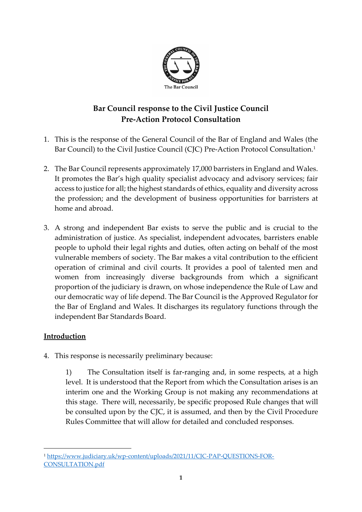

# **Bar Council response to the Civil Justice Council Pre-Action Protocol Consultation**

- 1. This is the response of the General Council of the Bar of England and Wales (the Bar Council) to the Civil Justice Council (CJC) Pre-Action Protocol Consultation.<sup>1</sup>
- 2. The Bar Council represents approximately 17,000 barristers in England and Wales. It promotes the Bar's high quality specialist advocacy and advisory services; fair access to justice for all; the highest standards of ethics, equality and diversity across the profession; and the development of business opportunities for barristers at home and abroad.
- 3. A strong and independent Bar exists to serve the public and is crucial to the administration of justice. As specialist, independent advocates, barristers enable people to uphold their legal rights and duties, often acting on behalf of the most vulnerable members of society. The Bar makes a vital contribution to the efficient operation of criminal and civil courts. It provides a pool of talented men and women from increasingly diverse backgrounds from which a significant proportion of the judiciary is drawn, on whose independence the Rule of Law and our democratic way of life depend. The Bar Council is the Approved Regulator for the Bar of England and Wales. It discharges its regulatory functions through the independent Bar Standards Board.

## **Introduction**

4. This response is necessarily preliminary because:

1) The Consultation itself is far-ranging and, in some respects, at a high level. It is understood that the Report from which the Consultation arises is an interim one and the Working Group is not making any recommendations at this stage. There will, necessarily, be specific proposed Rule changes that will be consulted upon by the CJC, it is assumed, and then by the Civil Procedure Rules Committee that will allow for detailed and concluded responses.

<sup>1</sup> [https://www.judiciary.uk/wp-content/uploads/2021/11/CJC-PAP-QUESTIONS-FOR-](https://www.judiciary.uk/wp-content/uploads/2021/11/CJC-PAP-QUESTIONS-FOR-CONSULTATION.pdf)[CONSULTATION.pdf](https://www.judiciary.uk/wp-content/uploads/2021/11/CJC-PAP-QUESTIONS-FOR-CONSULTATION.pdf)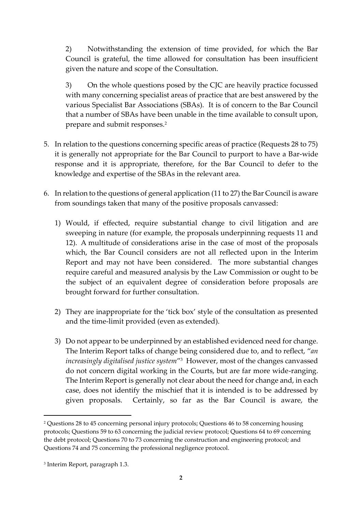2) Notwithstanding the extension of time provided, for which the Bar Council is grateful, the time allowed for consultation has been insufficient given the nature and scope of the Consultation.

3) On the whole questions posed by the CJC are heavily practice focussed with many concerning specialist areas of practice that are best answered by the various Specialist Bar Associations (SBAs). It is of concern to the Bar Council that a number of SBAs have been unable in the time available to consult upon, prepare and submit responses.<sup>2</sup>

- 5. In relation to the questions concerning specific areas of practice (Requests 28 to 75) it is generally not appropriate for the Bar Council to purport to have a Bar-wide response and it is appropriate, therefore, for the Bar Council to defer to the knowledge and expertise of the SBAs in the relevant area.
- 6. In relation to the questions of general application (11 to 27) the Bar Council is aware from soundings taken that many of the positive proposals canvassed:
	- 1) Would, if effected, require substantial change to civil litigation and are sweeping in nature (for example, the proposals underpinning requests 11 and 12). A multitude of considerations arise in the case of most of the proposals which, the Bar Council considers are not all reflected upon in the Interim Report and may not have been considered. The more substantial changes require careful and measured analysis by the Law Commission or ought to be the subject of an equivalent degree of consideration before proposals are brought forward for further consultation.
	- 2) They are inappropriate for the 'tick box' style of the consultation as presented and the time-limit provided (even as extended).
	- 3) Do not appear to be underpinned by an established evidenced need for change. The Interim Report talks of change being considered due to, and to reflect, "*an increasingly digitalised justice system*" 3 However, most of the changes canvassed do not concern digital working in the Courts, but are far more wide-ranging. The Interim Report is generally not clear about the need for change and, in each case, does not identify the mischief that it is intended is to be addressed by given proposals. Certainly, so far as the Bar Council is aware, the

<sup>2</sup> Questions 28 to 45 concerning personal injury protocols; Questions 46 to 58 concerning housing protocols; Questions 59 to 63 concerning the judicial review protocol; Questions 64 to 69 concerning the debt protocol; Questions 70 to 73 concerning the construction and engineering protocol; and Questions 74 and 75 concerning the professional negligence protocol.

<sup>3</sup> Interim Report, paragraph 1.3.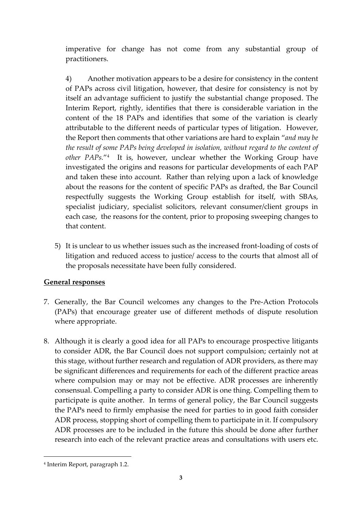imperative for change has not come from any substantial group of practitioners.

4) Another motivation appears to be a desire for consistency in the content of PAPs across civil litigation, however, that desire for consistency is not by itself an advantage sufficient to justify the substantial change proposed. The Interim Report, rightly, identifies that there is considerable variation in the content of the 18 PAPs and identifies that some of the variation is clearly attributable to the different needs of particular types of litigation. However, the Report then comments that other variations are hard to explain "*and may be the result of some PAPs being developed in isolation, without regard to the content of other PAPs.*" 4 It is, however, unclear whether the Working Group have investigated the origins and reasons for particular developments of each PAP and taken these into account. Rather than relying upon a lack of knowledge about the reasons for the content of specific PAPs as drafted, the Bar Council respectfully suggests the Working Group establish for itself, with SBAs, specialist judiciary, specialist solicitors, relevant consumer/client groups in each case, the reasons for the content, prior to proposing sweeping changes to that content.

5) It is unclear to us whether issues such as the increased front-loading of costs of litigation and reduced access to justice/ access to the courts that almost all of the proposals necessitate have been fully considered.

## **General responses**

- 7. Generally, the Bar Council welcomes any changes to the Pre-Action Protocols (PAPs) that encourage greater use of different methods of dispute resolution where appropriate.
- 8. Although it is clearly a good idea for all PAPs to encourage prospective litigants to consider ADR, the Bar Council does not support compulsion; certainly not at this stage, without further research and regulation of ADR providers, as there may be significant differences and requirements for each of the different practice areas where compulsion may or may not be effective. ADR processes are inherently consensual. Compelling a party to consider ADR is one thing. Compelling them to participate is quite another. In terms of general policy, the Bar Council suggests the PAPs need to firmly emphasise the need for parties to in good faith consider ADR process, stopping short of compelling them to participate in it. If compulsory ADR processes are to be included in the future this should be done after further research into each of the relevant practice areas and consultations with users etc.

<sup>4</sup> Interim Report, paragraph 1.2.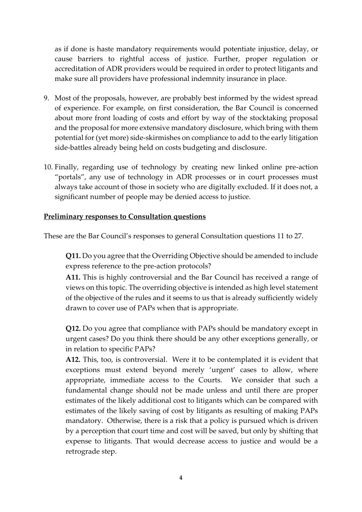as if done is haste mandatory requirements would potentiate injustice, delay, or cause barriers to rightful access of justice. Further, proper regulation or accreditation of ADR providers would be required in order to protect litigants and make sure all providers have professional indemnity insurance in place.

- 9. Most of the proposals, however, are probably best informed by the widest spread of experience. For example, on first consideration, the Bar Council is concerned about more front loading of costs and effort by way of the stocktaking proposal and the proposal for more extensive mandatory disclosure, which bring with them potential for (yet more) side-skirmishes on compliance to add to the early litigation side-battles already being held on costs budgeting and disclosure.
- 10. Finally, regarding use of technology by creating new linked online pre-action "portals", any use of technology in ADR processes or in court processes must always take account of those in society who are digitally excluded. If it does not, a significant number of people may be denied access to justice.

### **Preliminary responses to Consultation questions**

These are the Bar Council's responses to general Consultation questions 11 to 27.

**Q11.** Do you agree that the Overriding Objective should be amended to include express reference to the pre-action protocols?

**A11.** This is highly controversial and the Bar Council has received a range of views on this topic. The overriding objective is intended as high level statement of the objective of the rules and it seems to us that is already sufficiently widely drawn to cover use of PAPs when that is appropriate.

**Q12.** Do you agree that compliance with PAPs should be mandatory except in urgent cases? Do you think there should be any other exceptions generally, or in relation to specific PAPs?

**A12.** This, too, is controversial. Were it to be contemplated it is evident that exceptions must extend beyond merely 'urgent' cases to allow, where appropriate, immediate access to the Courts. We consider that such a fundamental change should not be made unless and until there are proper estimates of the likely additional cost to litigants which can be compared with estimates of the likely saving of cost by litigants as resulting of making PAPs mandatory. Otherwise, there is a risk that a policy is pursued which is driven by a perception that court time and cost will be saved, but only by shifting that expense to litigants. That would decrease access to justice and would be a retrograde step.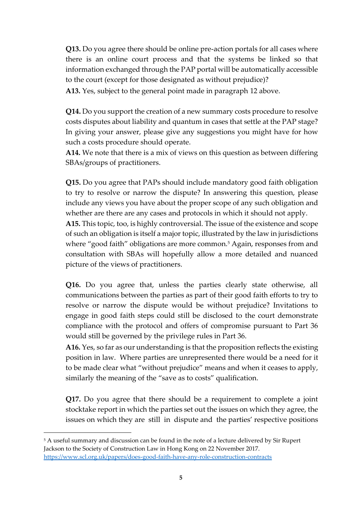**Q13.** Do you agree there should be online pre-action portals for all cases where there is an online court process and that the systems be linked so that information exchanged through the PAP portal will be automatically accessible to the court (except for those designated as without prejudice)?

**A13.** Yes, subject to the general point made in paragraph 12 above.

**Q14.** Do you support the creation of a new summary costs procedure to resolve costs disputes about liability and quantum in cases that settle at the PAP stage? In giving your answer, please give any suggestions you might have for how such a costs procedure should operate.

**A14.** We note that there is a mix of views on this question as between differing SBAs/groups of practitioners.

**Q15.** Do you agree that PAPs should include mandatory good faith obligation to try to resolve or narrow the dispute? In answering this question, please include any views you have about the proper scope of any such obligation and whether are there are any cases and protocols in which it should not apply.

**A15.** This topic, too, is highly controversial. The issue of the existence and scope of such an obligation is itself a major topic, illustrated by the law in jurisdictions where "good faith" obligations are more common.<sup>5</sup> Again, responses from and consultation with SBAs will hopefully allow a more detailed and nuanced picture of the views of practitioners.

**Q16.** Do you agree that, unless the parties clearly state otherwise, all communications between the parties as part of their good faith efforts to try to resolve or narrow the dispute would be without prejudice? Invitations to engage in good faith steps could still be disclosed to the court demonstrate compliance with the protocol and offers of compromise pursuant to Part 36 would still be governed by the privilege rules in Part 36.

**A16.** Yes, so far as our understanding is that the proposition reflects the existing position in law. Where parties are unrepresented there would be a need for it to be made clear what "without prejudice" means and when it ceases to apply, similarly the meaning of the "save as to costs" qualification.

**Q17.** Do you agree that there should be a requirement to complete a joint stocktake report in which the parties set out the issues on which they agree, the issues on which they are still in dispute and the parties' respective positions

<sup>&</sup>lt;sup>5</sup> A useful summary and discussion can be found in the note of a lecture delivered by Sir Rupert Jackson to the Society of Construction Law in Hong Kong on 22 November 2017. <https://www.scl.org.uk/papers/does-good-faith-have-any-role-construction-contracts>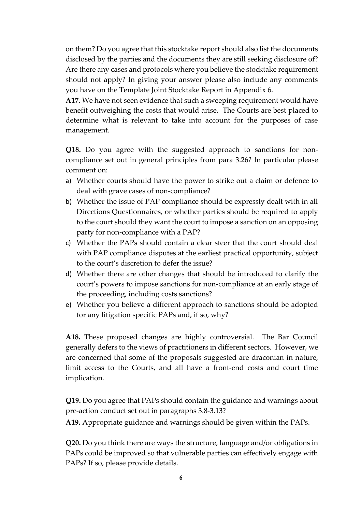on them? Do you agree that this stocktake report should also list the documents disclosed by the parties and the documents they are still seeking disclosure of? Are there any cases and protocols where you believe the stocktake requirement should not apply? In giving your answer please also include any comments you have on the Template Joint Stocktake Report in Appendix 6.

**A17.** We have not seen evidence that such a sweeping requirement would have benefit outweighing the costs that would arise. The Courts are best placed to determine what is relevant to take into account for the purposes of case management.

**Q18.** Do you agree with the suggested approach to sanctions for noncompliance set out in general principles from para 3.26? In particular please comment on:

- a) Whether courts should have the power to strike out a claim or defence to deal with grave cases of non-compliance?
- b) Whether the issue of PAP compliance should be expressly dealt with in all Directions Questionnaires, or whether parties should be required to apply to the court should they want the court to impose a sanction on an opposing party for non-compliance with a PAP?
- c) Whether the PAPs should contain a clear steer that the court should deal with PAP compliance disputes at the earliest practical opportunity, subject to the court's discretion to defer the issue?
- d) Whether there are other changes that should be introduced to clarify the court's powers to impose sanctions for non-compliance at an early stage of the proceeding, including costs sanctions?
- e) Whether you believe a different approach to sanctions should be adopted for any litigation specific PAPs and, if so, why?

**A18.** These proposed changes are highly controversial. The Bar Council generally defers to the views of practitioners in different sectors. However, we are concerned that some of the proposals suggested are draconian in nature, limit access to the Courts, and all have a front-end costs and court time implication.

**Q19.** Do you agree that PAPs should contain the guidance and warnings about pre-action conduct set out in paragraphs [3.8-3.13?](https://3.8-3.13/)

**A19.** Appropriate guidance and warnings should be given within the PAPs.

**Q20.** Do you think there are ways the structure, language and/or obligations in PAPs could be improved so that vulnerable parties can effectively engage with PAPs? If so, please provide details.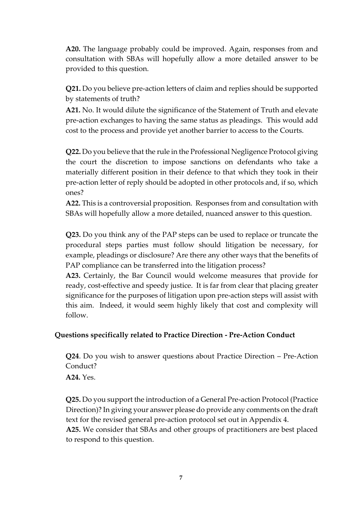**A20.** The language probably could be improved. Again, responses from and consultation with SBAs will hopefully allow a more detailed answer to be provided to this question.

**Q21.** Do you believe pre-action letters of claim and replies should be supported by statements of truth?

**A21.** No. It would dilute the significance of the Statement of Truth and elevate pre-action exchanges to having the same status as pleadings. This would add cost to the process and provide yet another barrier to access to the Courts.

**Q22.** Do you believe that the rule in the Professional Negligence Protocol giving the court the discretion to impose sanctions on defendants who take a materially different position in their defence to that which they took in their pre-action letter of reply should be adopted in other protocols and, if so, which ones?

**A22.** This is a controversial proposition. Responses from and consultation with SBAs will hopefully allow a more detailed, nuanced answer to this question.

**Q23.** Do you think any of the PAP steps can be used to replace or truncate the procedural steps parties must follow should litigation be necessary, for example, pleadings or disclosure? Are there any other ways that the benefits of PAP compliance can be transferred into the litigation process?

**A23.** Certainly, the Bar Council would welcome measures that provide for ready, cost-effective and speedy justice. It is far from clear that placing greater significance for the purposes of litigation upon pre-action steps will assist with this aim. Indeed, it would seem highly likely that cost and complexity will follow.

### **Questions specifically related to Practice Direction - Pre-Action Conduct**

**Q24**. Do you wish to answer questions about Practice Direction – Pre-Action Conduct?

**A24.** Yes.

**Q25.** Do you support the introduction of a General Pre-action Protocol (Practice Direction)? In giving your answer please do provide any comments on the draft text for the revised general pre-action protocol set out in Appendix 4.

**A25.** We consider that SBAs and other groups of practitioners are best placed to respond to this question.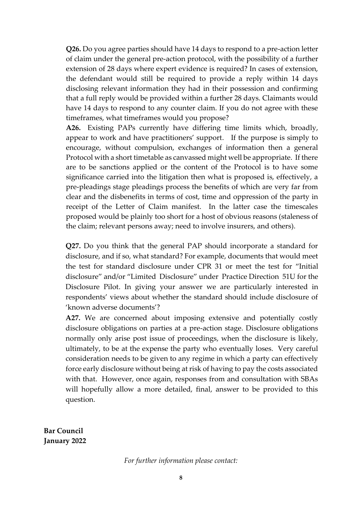**Q26.** Do you agree parties should have 14 days to respond to a pre-action letter of claim under the general pre-action protocol, with the possibility of a further extension of 28 days where expert evidence is required? In cases of extension, the defendant would still be required to provide a reply within 14 days disclosing relevant information they had in their possession and confirming that a full reply would be provided within a further 28 days. Claimants would have 14 days to respond to any counter claim. If you do not agree with these timeframes, what timeframes would you propose?

**A26.** Existing PAPs currently have differing time limits which, broadly, appear to work and have practitioners' support. If the purpose is simply to encourage, without compulsion, exchanges of information then a general Protocol with a short timetable as canvassed might well be appropriate. If there are to be sanctions applied or the content of the Protocol is to have some significance carried into the litigation then what is proposed is, effectively, a pre-pleadings stage pleadings process the benefits of which are very far from clear and the disbenefits in terms of cost, time and oppression of the party in receipt of the Letter of Claim manifest. In the latter case the timescales proposed would be plainly too short for a host of obvious reasons (staleness of the claim; relevant persons away; need to involve insurers, and others).

**Q27.** Do you think that the general PAP should incorporate a standard for disclosure, and if so, what standard? For example, documents that would meet the test for standard disclosure under CPR 31 or meet the test for "Initial disclosure" and/or "Limited Disclosure" under Practice Direction 51U for the Disclosure Pilot. In giving your answer we are particularly interested in respondents' views about whether the standard should include disclosure of 'known adverse documents'?

**A27.** We are concerned about imposing extensive and potentially costly disclosure obligations on parties at a pre-action stage. Disclosure obligations normally only arise post issue of proceedings, when the disclosure is likely, ultimately, to be at the expense the party who eventually loses. Very careful consideration needs to be given to any regime in which a party can effectively force early disclosure without being at risk of having to pay the costs associated with that. However, once again, responses from and consultation with SBAs will hopefully allow a more detailed, final, answer to be provided to this question.

**Bar Council January 2022**

*For further information please contact:*